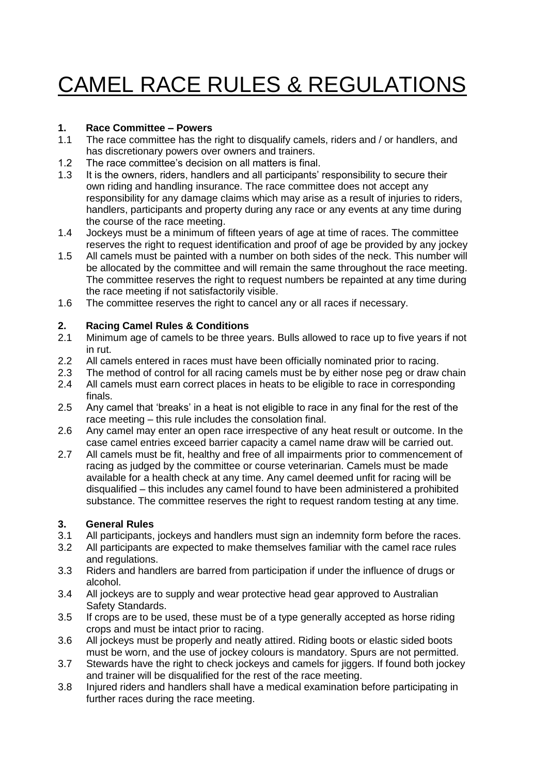# CAMEL RACE RULES & REGULATIONS

# **1. Race Committee – Powers**

- 1.1 The race committee has the right to disqualify camels, riders and / or handlers, and has discretionary powers over owners and trainers.
- 1.2 The race committee's decision on all matters is final.
- 1.3 It is the owners, riders, handlers and all participants' responsibility to secure their own riding and handling insurance. The race committee does not accept any responsibility for any damage claims which may arise as a result of injuries to riders, handlers, participants and property during any race or any events at any time during the course of the race meeting.
- 1.4 Jockeys must be a minimum of fifteen years of age at time of races. The committee reserves the right to request identification and proof of age be provided by any jockey
- 1.5 All camels must be painted with a number on both sides of the neck. This number will be allocated by the committee and will remain the same throughout the race meeting. The committee reserves the right to request numbers be repainted at any time during the race meeting if not satisfactorily visible.
- 1.6 The committee reserves the right to cancel any or all races if necessary.

## **2. Racing Camel Rules & Conditions**

- 2.1 Minimum age of camels to be three years. Bulls allowed to race up to five years if not in rut.
- 2.2 All camels entered in races must have been officially nominated prior to racing.
- 2.3 The method of control for all racing camels must be by either nose peg or draw chain
- 2.4 All camels must earn correct places in heats to be eligible to race in corresponding finals.
- 2.5 Any camel that 'breaks' in a heat is not eligible to race in any final for the rest of the race meeting – this rule includes the consolation final.
- 2.6 Any camel may enter an open race irrespective of any heat result or outcome. In the case camel entries exceed barrier capacity a camel name draw will be carried out.
- 2.7 All camels must be fit, healthy and free of all impairments prior to commencement of racing as judged by the committee or course veterinarian. Camels must be made available for a health check at any time. Any camel deemed unfit for racing will be disqualified – this includes any camel found to have been administered a prohibited substance. The committee reserves the right to request random testing at any time.

### **3. General Rules**

- 3.1 All participants, jockeys and handlers must sign an indemnity form before the races.<br>3.2 All participants are expected to make themselves familiar with the camel race rules
- All participants are expected to make themselves familiar with the camel race rules and regulations.
- 3.3 Riders and handlers are barred from participation if under the influence of drugs or alcohol.
- 3.4 All jockeys are to supply and wear protective head gear approved to Australian Safety Standards.
- 3.5 If crops are to be used, these must be of a type generally accepted as horse riding crops and must be intact prior to racing.
- 3.6 All jockeys must be properly and neatly attired. Riding boots or elastic sided boots must be worn, and the use of jockey colours is mandatory. Spurs are not permitted.
- 3.7 Stewards have the right to check jockeys and camels for jiggers. If found both jockey and trainer will be disqualified for the rest of the race meeting.
- 3.8 Injured riders and handlers shall have a medical examination before participating in further races during the race meeting.